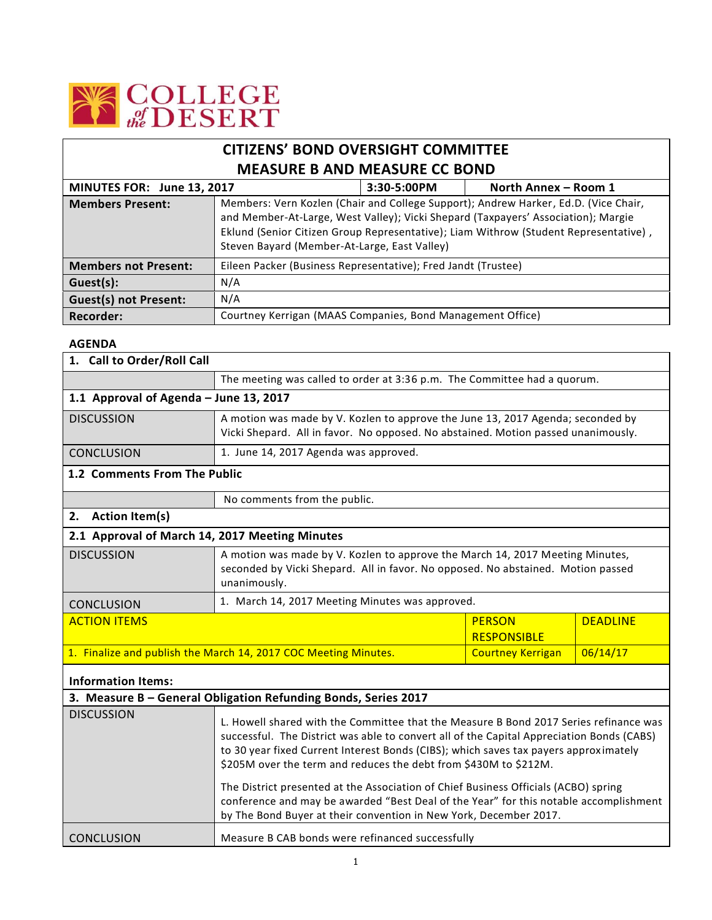

## **CITIZENS' BOND OVERSIGHT COMMITTEE MEASURE B AND MEASURE CC BOND**

| MINUTES FOR: June 13, 2017   |                                                                                                                                                                                                                                                                                                                  | 3:30-5:00PM | North Annex - Room 1 |
|------------------------------|------------------------------------------------------------------------------------------------------------------------------------------------------------------------------------------------------------------------------------------------------------------------------------------------------------------|-------------|----------------------|
| <b>Members Present:</b>      | Members: Vern Kozlen (Chair and College Support); Andrew Harker, Ed.D. (Vice Chair,<br>and Member-At-Large, West Valley); Vicki Shepard (Taxpayers' Association); Margie<br>Eklund (Senior Citizen Group Representative); Liam Withrow (Student Representative),<br>Steven Bayard (Member-At-Large, East Valley) |             |                      |
| <b>Members not Present:</b>  | Eileen Packer (Business Representative); Fred Jandt (Trustee)                                                                                                                                                                                                                                                    |             |                      |
| Guest(s):                    | N/A                                                                                                                                                                                                                                                                                                              |             |                      |
| <b>Guest(s) not Present:</b> | N/A                                                                                                                                                                                                                                                                                                              |             |                      |
| <b>Recorder:</b>             | Courtney Kerrigan (MAAS Companies, Bond Management Office)                                                                                                                                                                                                                                                       |             |                      |

## **AGENDA**

| 1. Call to Order/Roll Call                                      |                                                                                                                                                                                                                                                                                                                                                                                                                                                                                                                                                                                                     |                                     |                 |
|-----------------------------------------------------------------|-----------------------------------------------------------------------------------------------------------------------------------------------------------------------------------------------------------------------------------------------------------------------------------------------------------------------------------------------------------------------------------------------------------------------------------------------------------------------------------------------------------------------------------------------------------------------------------------------------|-------------------------------------|-----------------|
|                                                                 | The meeting was called to order at 3:36 p.m. The Committee had a quorum.                                                                                                                                                                                                                                                                                                                                                                                                                                                                                                                            |                                     |                 |
| 1.1 Approval of Agenda - June 13, 2017                          |                                                                                                                                                                                                                                                                                                                                                                                                                                                                                                                                                                                                     |                                     |                 |
| <b>DISCUSSION</b>                                               | A motion was made by V. Kozlen to approve the June 13, 2017 Agenda; seconded by<br>Vicki Shepard. All in favor. No opposed. No abstained. Motion passed unanimously.                                                                                                                                                                                                                                                                                                                                                                                                                                |                                     |                 |
| <b>CONCLUSION</b>                                               | 1. June 14, 2017 Agenda was approved.                                                                                                                                                                                                                                                                                                                                                                                                                                                                                                                                                               |                                     |                 |
| 1.2 Comments From The Public                                    |                                                                                                                                                                                                                                                                                                                                                                                                                                                                                                                                                                                                     |                                     |                 |
|                                                                 | No comments from the public.                                                                                                                                                                                                                                                                                                                                                                                                                                                                                                                                                                        |                                     |                 |
| 2. Action Item(s)                                               |                                                                                                                                                                                                                                                                                                                                                                                                                                                                                                                                                                                                     |                                     |                 |
| 2.1 Approval of March 14, 2017 Meeting Minutes                  |                                                                                                                                                                                                                                                                                                                                                                                                                                                                                                                                                                                                     |                                     |                 |
| <b>DISCUSSION</b>                                               | A motion was made by V. Kozlen to approve the March 14, 2017 Meeting Minutes,<br>seconded by Vicki Shepard. All in favor. No opposed. No abstained. Motion passed<br>unanimously.                                                                                                                                                                                                                                                                                                                                                                                                                   |                                     |                 |
| <b>CONCLUSION</b>                                               | 1. March 14, 2017 Meeting Minutes was approved.                                                                                                                                                                                                                                                                                                                                                                                                                                                                                                                                                     |                                     |                 |
| <b>ACTION ITEMS</b>                                             |                                                                                                                                                                                                                                                                                                                                                                                                                                                                                                                                                                                                     | <b>PERSON</b><br><b>RESPONSIBLE</b> | <b>DEADLINE</b> |
| 1. Finalize and publish the March 14, 2017 COC Meeting Minutes. |                                                                                                                                                                                                                                                                                                                                                                                                                                                                                                                                                                                                     | <b>Courtney Kerrigan</b>            | 06/14/17        |
| <b>Information Items:</b>                                       |                                                                                                                                                                                                                                                                                                                                                                                                                                                                                                                                                                                                     |                                     |                 |
|                                                                 | 3. Measure B - General Obligation Refunding Bonds, Series 2017                                                                                                                                                                                                                                                                                                                                                                                                                                                                                                                                      |                                     |                 |
| <b>DISCUSSION</b>                                               | L. Howell shared with the Committee that the Measure B Bond 2017 Series refinance was<br>successful. The District was able to convert all of the Capital Appreciation Bonds (CABS)<br>to 30 year fixed Current Interest Bonds (CIBS); which saves tax payers approximately<br>\$205M over the term and reduces the debt from \$430M to \$212M.<br>The District presented at the Association of Chief Business Officials (ACBO) spring<br>conference and may be awarded "Best Deal of the Year" for this notable accomplishment<br>by The Bond Buyer at their convention in New York, December 2017. |                                     |                 |
| <b>CONCLUSION</b>                                               | Measure B CAB bonds were refinanced successfully                                                                                                                                                                                                                                                                                                                                                                                                                                                                                                                                                    |                                     |                 |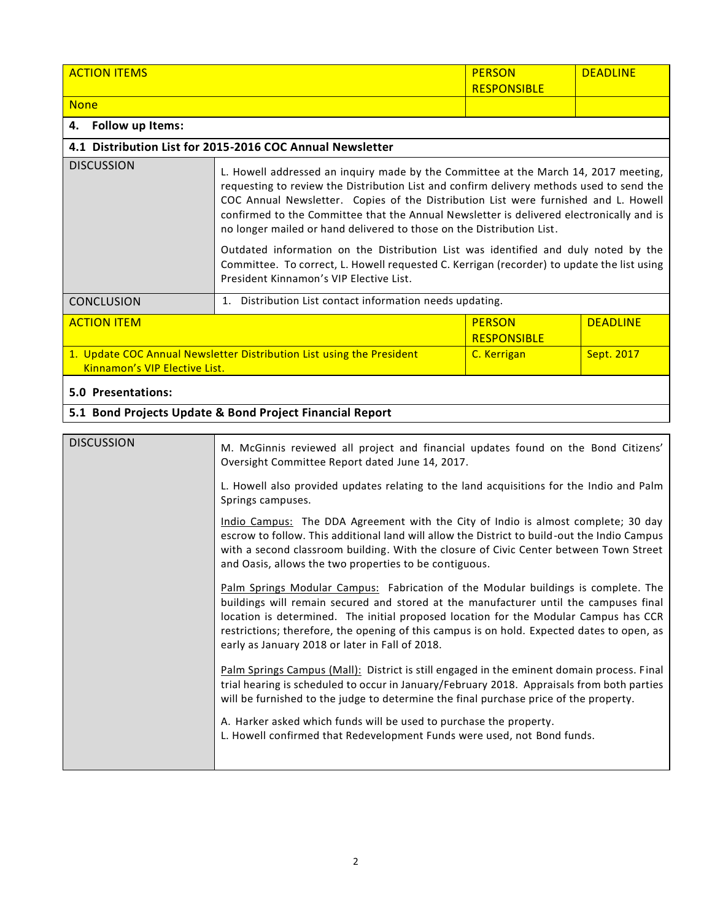| <b>ACTION ITEMS</b>                                                                                                   |                                                                                                                                                                                                                                                                                                                                                                                                                                                                                                                                                                                                                                                                            | <b>PERSON</b><br><b>RESPONSIBLE</b> | <b>DEADLINE</b> |  |
|-----------------------------------------------------------------------------------------------------------------------|----------------------------------------------------------------------------------------------------------------------------------------------------------------------------------------------------------------------------------------------------------------------------------------------------------------------------------------------------------------------------------------------------------------------------------------------------------------------------------------------------------------------------------------------------------------------------------------------------------------------------------------------------------------------------|-------------------------------------|-----------------|--|
| <b>None</b>                                                                                                           |                                                                                                                                                                                                                                                                                                                                                                                                                                                                                                                                                                                                                                                                            |                                     |                 |  |
| <b>Follow up Items:</b><br>4.                                                                                         |                                                                                                                                                                                                                                                                                                                                                                                                                                                                                                                                                                                                                                                                            |                                     |                 |  |
|                                                                                                                       | 4.1 Distribution List for 2015-2016 COC Annual Newsletter                                                                                                                                                                                                                                                                                                                                                                                                                                                                                                                                                                                                                  |                                     |                 |  |
| <b>DISCUSSION</b>                                                                                                     | L. Howell addressed an inquiry made by the Committee at the March 14, 2017 meeting,<br>requesting to review the Distribution List and confirm delivery methods used to send the<br>COC Annual Newsletter. Copies of the Distribution List were furnished and L. Howell<br>confirmed to the Committee that the Annual Newsletter is delivered electronically and is<br>no longer mailed or hand delivered to those on the Distribution List.<br>Outdated information on the Distribution List was identified and duly noted by the<br>Committee. To correct, L. Howell requested C. Kerrigan (recorder) to update the list using<br>President Kinnamon's VIP Flective List. |                                     |                 |  |
| <b>CONCLUSION</b>                                                                                                     | 1. Distribution List contact information needs updating.                                                                                                                                                                                                                                                                                                                                                                                                                                                                                                                                                                                                                   |                                     |                 |  |
| <b>ACTION ITEM</b>                                                                                                    |                                                                                                                                                                                                                                                                                                                                                                                                                                                                                                                                                                                                                                                                            | <b>PERSON</b><br><b>RESPONSIBLE</b> | <b>DEADLINE</b> |  |
| 1. Update COC Annual Newsletter Distribution List using the President<br>C. Kerrigan<br>Kinnamon's VIP Elective List. |                                                                                                                                                                                                                                                                                                                                                                                                                                                                                                                                                                                                                                                                            | Sept. 2017                          |                 |  |
| 5.0 Presentations:                                                                                                    |                                                                                                                                                                                                                                                                                                                                                                                                                                                                                                                                                                                                                                                                            |                                     |                 |  |

## **5.1 Bond Projects Update & Bond Project Financial Report**

| <b>DISCUSSION</b> | M. McGinnis reviewed all project and financial updates found on the Bond Citizens'<br>Oversight Committee Report dated June 14, 2017.                                                                                                                                                                                                                                                                                |
|-------------------|----------------------------------------------------------------------------------------------------------------------------------------------------------------------------------------------------------------------------------------------------------------------------------------------------------------------------------------------------------------------------------------------------------------------|
|                   | L. Howell also provided updates relating to the land acquisitions for the Indio and Palm<br>Springs campuses.                                                                                                                                                                                                                                                                                                        |
|                   | Indio Campus: The DDA Agreement with the City of Indio is almost complete; 30 day<br>escrow to follow. This additional land will allow the District to build-out the Indio Campus<br>with a second classroom building. With the closure of Civic Center between Town Street<br>and Oasis, allows the two properties to be contiguous.                                                                                |
|                   | Palm Springs Modular Campus: Fabrication of the Modular buildings is complete. The<br>buildings will remain secured and stored at the manufacturer until the campuses final<br>location is determined. The initial proposed location for the Modular Campus has CCR<br>restrictions; therefore, the opening of this campus is on hold. Expected dates to open, as<br>early as January 2018 or later in Fall of 2018. |
|                   | Palm Springs Campus (Mall): District is still engaged in the eminent domain process. Final<br>trial hearing is scheduled to occur in January/February 2018. Appraisals from both parties<br>will be furnished to the judge to determine the final purchase price of the property.                                                                                                                                    |
|                   | A. Harker asked which funds will be used to purchase the property.<br>L. Howell confirmed that Redevelopment Funds were used, not Bond funds.                                                                                                                                                                                                                                                                        |